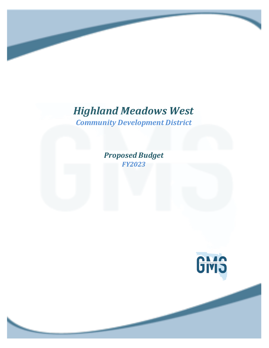*Community Development District*

*Proposed Budget FY2023*

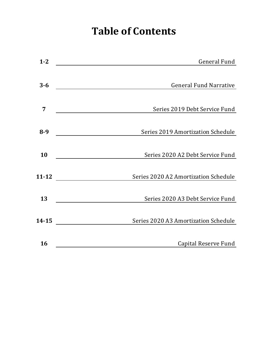# **Table of Contents**

| $1 - 2$   | General Fund                                                                                                                                          |
|-----------|-------------------------------------------------------------------------------------------------------------------------------------------------------|
|           |                                                                                                                                                       |
| $3 - 6$   | <b>General Fund Narrative</b><br><u> 1980 - Jan Samuel Barbara, martin da shekara 1980 - An tsara 1980 - An tsara 1980 - An tsara 1980 - An tsara</u> |
|           |                                                                                                                                                       |
| 7         | Series 2019 Debt Service Fund                                                                                                                         |
|           |                                                                                                                                                       |
| $8 - 9$   | Series 2019 Amortization Schedule                                                                                                                     |
|           |                                                                                                                                                       |
| 10        | Series 2020 A2 Debt Service Fund                                                                                                                      |
|           |                                                                                                                                                       |
| $11 - 12$ | Series 2020 A2 Amortization Schedule                                                                                                                  |
|           |                                                                                                                                                       |
| 13        | Series 2020 A3 Debt Service Fund                                                                                                                      |
|           |                                                                                                                                                       |
| $14 - 15$ | Series 2020 A3 Amortization Schedule                                                                                                                  |
|           |                                                                                                                                                       |
| 16        | Capital Reserve Fund                                                                                                                                  |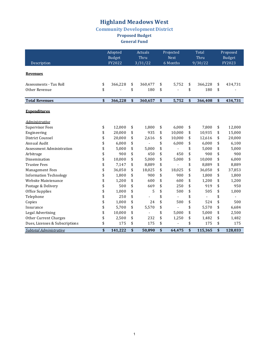## **Community Development District**

**Proposed Budget** 

**General Fund** 

|                                  | Adopted                 |         | Actuals |                 | Projected                      | Total           | Proposed                |         |  |
|----------------------------------|-------------------------|---------|---------|-----------------|--------------------------------|-----------------|-------------------------|---------|--|
| Description                      | <b>Budget</b><br>FY2022 |         |         | Thru<br>3/31/22 | <b>Next</b><br>6 Months        | Thru<br>9/30/22 | <b>Budget</b><br>FY2023 |         |  |
|                                  |                         |         |         |                 |                                |                 |                         |         |  |
| <b>Revenues</b>                  |                         |         |         |                 |                                |                 |                         |         |  |
| Assessments - Tax Roll           | \$                      | 366,228 | \$      | 360,477         | \$<br>5,752                    | \$<br>366,228   | \$                      | 434,731 |  |
| Other Revenue                    | \$                      |         | \$      | 180             | \$                             | \$<br>180       | \$                      |         |  |
| <b>Total Revenues</b>            | \$                      | 366,228 | \$      | 360,657         | \$<br>5,752                    | \$<br>366,408   | \$                      | 434,731 |  |
| <b>Expenditures</b>              |                         |         |         |                 |                                |                 |                         |         |  |
| <b>Administrative</b>            |                         |         |         |                 |                                |                 |                         |         |  |
| <b>Supervisor Fees</b>           | \$                      | 12.000  | \$      | 1,800           | \$<br>6.000                    | \$<br>7.800     | \$                      | 12,000  |  |
| Engineering                      | \$                      | 20,000  | \$      | 935             | \$<br>10,000                   | \$<br>10,935    | \$                      | 15,000  |  |
| District Counsel                 | \$                      | 20,000  | \$      | 2,616           | \$<br>10,000                   | \$<br>12,616    | \$                      | 20,000  |  |
| Annual Audit                     | \$                      | 6,000   | \$      |                 | \$<br>6,000                    | \$<br>6,000     | \$                      | 6,100   |  |
| <b>Assessment Administration</b> | \$                      | 5,000   | \$      | 5,000           | \$                             | \$<br>5,000     | \$                      | 5,000   |  |
| Arbitrage                        | \$                      | 900     | \$      | 450             | \$<br>450                      | \$<br>900       | \$                      | 900     |  |
| Dissemination                    | \$                      | 10,000  | \$      | 5,000           | \$<br>5,000                    | \$<br>10,000    | \$                      | 6,000   |  |
| <b>Trustee Fees</b>              | \$                      | 7,147   | \$      | 8,889           | \$                             | \$<br>8,889     | \$                      | 8,889   |  |
| <b>Management Fees</b>           | \$                      | 36,050  | \$      | 18,025          | \$<br>18,025                   | \$<br>36,050    | \$                      | 37,853  |  |
| <b>Information Technology</b>    | \$                      | 1,800   | \$      | 900             | \$<br>900                      | \$<br>1,800     | \$                      | 1,800   |  |
| Website Maintenance              | \$                      | 1,200   | \$      | 600             | \$<br>600                      | \$<br>1,200     | \$                      | 1,200   |  |
| Postage & Delivery               | \$                      | 500     | \$      | 669             | \$<br>250                      | \$<br>919       | \$                      | 950     |  |
| <b>Office Supplies</b>           | \$                      | 1,000   | \$      | 5               | \$<br>500                      | \$<br>505       | \$                      | 1,000   |  |
| Telephone                        | \$                      | 250     | \$      |                 | \$<br>$\overline{\phantom{0}}$ | \$              | \$                      |         |  |
| Copies                           | \$                      | 1,000   | \$      | 24              | \$<br>500                      | \$<br>524       | \$                      | 500     |  |
| Insurance                        | \$                      | 5,700   | \$      | 5,570           | \$                             | \$<br>5,570     | \$                      | 6,684   |  |
| Legal Advertising                | \$                      | 10,000  | \$      |                 | \$<br>5,000                    | \$<br>5,000     | \$                      | 2,500   |  |
| <b>Other Current Charges</b>     | \$                      | 2,500   | \$      | 232             | \$<br>1,250                    | \$<br>1,482     | \$                      | 1,482   |  |
| Dues, Licenses & Subscriptions   | \$                      | 175     | \$      | 175             | \$                             | \$<br>175       | \$                      | 175     |  |
| Subtotal Administrative          | \$                      | 141,222 | \$      | 50,890          | \$<br>64,475                   | \$<br>115,365   | \$                      | 128,033 |  |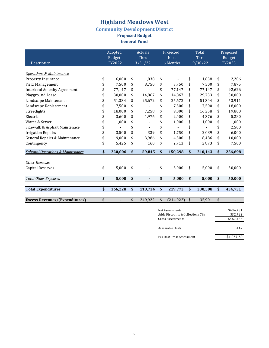#### **Community Development District**

**Proposed Budget**

**General Fund** 

|                                              | Adopted       |              | <b>Actuals</b> |    | Projected   | Total         | Proposed |               |  |
|----------------------------------------------|---------------|--------------|----------------|----|-------------|---------------|----------|---------------|--|
|                                              | <b>Budget</b> |              | Thru           |    | <b>Next</b> | Thru          |          | <b>Budget</b> |  |
| Description                                  | FY2022        | 3/31/22      |                |    | 6 Months    | 9/30/22       | FY2023   |               |  |
|                                              |               |              |                |    |             |               |          |               |  |
| <b>Operations &amp; Maintenance</b>          |               |              |                |    |             |               |          |               |  |
| Property Insurance                           | \$<br>6,000   | \$           | 1.838          | \$ |             | \$<br>1.838   | \$       | 2,206         |  |
| <b>Field Management</b>                      | \$<br>7,500   | \$           | 3,750          | \$ | 3,750       | \$<br>7,500   | \$       | 7,875         |  |
| <b>Interlocal Amenity Agreement</b>          | \$<br>77,147  | \$           |                | \$ | 77,147      | \$<br>77,147  | \$       | 92,626        |  |
| Playground Lease                             | 30.000        | \$           | 14,867         | \$ | 14,867      | \$<br>29,733  | \$       | 30,000        |  |
| Landscape Maintenance                        | \$<br>51,334  | \$           | 25,672         | \$ | 25,672      | \$<br>51,344  | \$       | 53,911        |  |
| Landscape Replacement                        | \$<br>7,500   | \$           |                | \$ | 7.500       | \$<br>7,500   | \$       | 18,000        |  |
| Streetlights                                 | \$<br>18,000  | \$           | 7,258          | \$ | 9,000       | \$<br>16,258  | \$       | 19,800        |  |
| Electric                                     | 3,600         | \$           | 1,976          | \$ | 2,400       | \$<br>4,376   | \$       | 5,280         |  |
| Water & Sewer                                | \$<br>1,000   | \$           |                | \$ | 1,000       | \$<br>1,000   | \$       | 1,000         |  |
| Sidewalk & Asphalt Maintenace                | \$            | \$           |                | \$ |             | \$            | \$       | 2,500         |  |
| <b>Irrigation Repairs</b>                    | 3,500         | \$           | 339            | \$ | 1.750       | \$<br>2.089   | \$       | 6,000         |  |
| General Repairs & Maintenance                | \$<br>9,000   | \$           | 3,986          | \$ | 4,500       | \$<br>8,486   | \$       | 10,000        |  |
| Contingency                                  | \$<br>5,425   | \$           | 160            | \$ | 2,713       | \$<br>2,873   | \$       | 7,500         |  |
| <b>Subtotal Operations &amp; Maintenance</b> | \$<br>220,006 | \$           | 59,845         | \$ | 150,298     | \$<br>210,143 | \$       | 256,698       |  |
|                                              |               |              |                |    |             |               |          |               |  |
| Other Expenses                               |               |              |                |    |             |               |          |               |  |
| <b>Capital Reserves</b>                      | \$<br>5,000   | \$           |                | \$ | 5,000       | \$<br>5,000   | \$       | 50,000        |  |
| <b>Total Other Expenses</b>                  | \$<br>5,000   | \$           | ä,             | \$ | 5,000       | \$<br>5,000   | \$       | 50,000        |  |
|                                              |               |              |                |    |             |               |          |               |  |
| <b>Total Expenditures</b>                    | \$<br>366,228 | $\mathbf{s}$ | 110,734        | \$ | 219,773     | \$<br>330,508 | \$       | 434,731       |  |
|                                              |               |              |                |    |             |               |          |               |  |
| <b>Excess Revenues/(Expenditures)</b>        | \$            | \$           | 249,922        | \$ | (214, 022)  | \$<br>35,901  | \$       |               |  |

| Net Assessments<br>Add: Discounts & Collections 7% | \$434,731<br>\$32,722 |
|----------------------------------------------------|-----------------------|
| Gross Assessments                                  | \$467,453             |
| Assessable Units                                   | 442                   |
| Per Unit Gross Assessment                          | \$1.057.59            |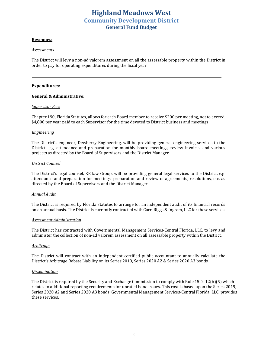### **Highland Meadows West Community Development District General Fund Budget**

#### **Revenues:**

#### *Assessments*

The District will levy a non-ad valorem assessment on all the assessable property within the District in order to pay for operating expenditures during the fiscal year.

<u>*<u></u>*</u>

#### **Expenditures:**

#### **General & Administrative:**

#### *Supervisor Fees*

Chapter 190, Florida Statutes, allows for each Board member to receive \$200 per meeting, not to exceed \$4,800 per year paid to each Supervisor for the time devoted to District business and meetings.

#### *Engineering*

The District's engineer, Dewberry Engineering, will be providing general engineering services to the District, e.g. attendance and preparation for monthly board meetings, review invoices and various projects as directed by the Board of Supervisors and the District Manager.

#### *District Counsel*

The District's legal counsel, KE law Group, will be providing general legal services to the District, e.g. attendance and preparation for meetings, preparation and review of agreements, resolutions, etc. as directed by the Board of Supervisors and the District Manager.

#### *Annual Audit*

The District is required by Florida Statutes to arrange for an independent audit of its financial records on an annual basis. The District is currently contracted with Carr, Riggs & Ingram, LLC for these services.

#### *Assessment Administration*

The District has contracted with Governmental Management Services-Central Florida, LLC, to levy and administer the collection of non-ad valorem assessment on all assessable property within the District.

#### *Arbitrage*

The District will contract with an independent certified public accountant to annually calculate the District's Arbitrage Rebate Liability on its Series 2019, Series 2020 A2 & Series 2020 A3 bonds.

#### *Dissemination*

The District is required by the Security and Exchange Commission to comply with Rule  $15c2-12(b)(5)$  which relates to additional reporting requirements for unrated bond issues. This cost is based upon the Series 2019, Series 2020 A2 and Series 2020 A3 bonds. Governmental Management Services-Central Florida, LLC, provides these services.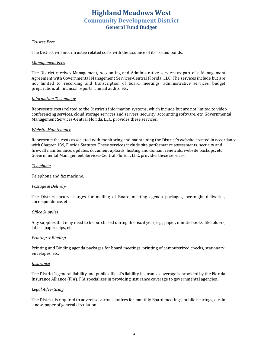### **Highland Meadows West Community Development District General Fund Budget**

#### *Trustee Fees*

The District will incur trustee related costs with the issuance of its' issued bonds.

#### *Management Fees*

The District receives Management, Accounting and Administrative services as part of a Management Agreement with Governmental Management Services-Central Florida, LLC. The services include but are not limited to, recording and transcription of board meetings, administrative services, budget preparation, all financial reports, annual audits, etc.

#### *Information Technology*

Represents costs related to the District's information systems, which include but are not limited to video conferencing services, cloud storage services and servers, security, accounting software, etc. Governmental Management Services-Central Florida, LLC, provides these services.

#### *Website Maintenance*

Represents the costs associated with monitoring and maintaining the District's website created in accordance with Chapter 189, Florida Statutes. These services include site performance assessments, security and firewall maintenance, updates, document uploads, hosting and domain renewals, website backups, etc. Governmental Management Services-Central Florida, LLC, provides these services.

#### *Telephone*

Telephone and fax machine.

#### *Postage & Delivery*

The District incurs charges for mailing of Board meeting agenda packages, overnight deliveries, correspondence, etc.

#### *Office Supplies*

Any supplies that may need to be purchased during the fiscal year, e.g., paper, minute books, file folders, labels, paper clips, etc.

#### *Printing & Binding*

Printing and Binding agenda packages for board meetings, printing of computerized checks, stationary, envelopes, etc.

#### *Insurance*

The District's general liability and public official's liability insurance coverage is provided by the Florida Insurance Alliance (FIA). FIA specializes in providing insurance coverage to governmental agencies.

#### *Legal Advertising*

The District is required to advertise various notices for monthly Board meetings, public hearings, etc. in a newspaper of general circulation.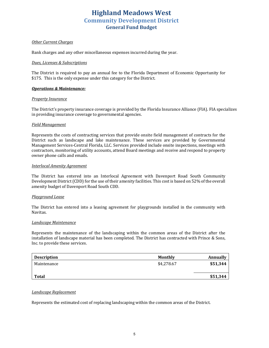### **Highland Meadows West Community Development District General Fund Budget**

#### *Other Current Charges*

Bank charges and any other miscellaneous expenses incurred during the year.

#### *Dues, Licenses & Subscriptions*

The District is required to pay an annual fee to the Florida Department of Economic Opportunity for \$175. This is the only expense under this category for the District.

#### *Operations & Maintenance:*

#### **Property Insurance**

The District's property insurance coverage is provided by the Florida Insurance Alliance (FIA). FIA specializes in providing insurance coverage to governmental agencies.

#### *Field Management*

Represents the costs of contracting services that provide onsite field management of contracts for the District such as landscape and lake maintenance. These services are provided by Governmental Management Services-Central Florida, LLC. Services provided include onsite inspections, meetings with contractors, monitoring of utility accounts, attend Board meetings and receive and respond to property owner phone calls and emails.

#### *Interlocal Amenity Agreement*

The District has entered into an Interlocal Agreement with Davenport Road South Community Development District (CDD) for the use of their amenity facilities. This cost is based on 52% of the overall amenity budget of Davenport Road South CDD.

#### *Playground Lease*

The District has entered into a leasing agreement for playgrounds installed in the community with Navitas.

#### *Landscape Maintenance*

Represents the maintenance of the landscaping within the common areas of the District after the installation of landscape material has been completed. The District has contracted with Prince & Sons, Inc. to provide these services.

| <b>Description</b> | Monthly    | Annually |
|--------------------|------------|----------|
| Maintenance        | \$4,278.67 | \$51,344 |
| Total              |            | \$51,344 |

#### *Landscape Replacement*

Represents the estimated cost of replacing landscaping within the common areas of the District.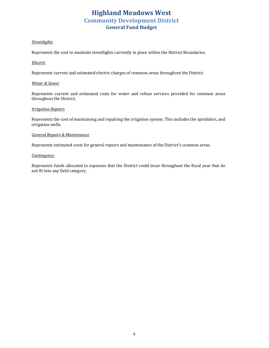### **Highland Meadows West Community Development District General Fund Budget**

#### *Streetlights*

Represents the cost to maintain streetlights currently in place within the District Boundaries.

#### *Electric*

Represents current and estimated electric charges of common areas throughout the District.

#### *Water & Sewer*

Represents current and estimated costs for water and refuse services provided for common areas throughout the District.

#### *Irrigation Repairs*

Represents the cost of maintaining and repairing the irrigation system. This includes the sprinklers, and irrigation wells.

#### *General Repairs & Maintenance*

Represents estimated costs for general repairs and maintenance of the District's common areas.

#### *Contingency*

Represents funds allocated to expenses that the District could incur throughout the fiscal year that do not fit into any field category.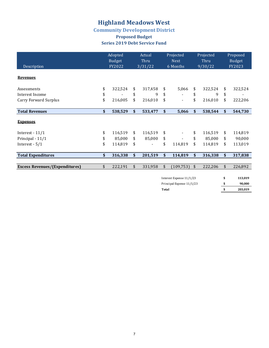### **Community Development District**

### **Proposed Budget Series 2019 Debt Service Fund**

|                                       | Adopted<br>Budget | Actual<br>Thru |                           | Projected<br><b>Next</b> |    | Projected<br>Thru | Proposed<br><b>Budget</b> |         |  |
|---------------------------------------|-------------------|----------------|---------------------------|--------------------------|----|-------------------|---------------------------|---------|--|
| Description                           | FY2022            | 3/31/22        | 6 Months                  |                          |    | 9/30/22           |                           | FY2023  |  |
| <b>Revenues</b>                       |                   |                |                           |                          |    |                   |                           |         |  |
| Assessments                           | \$<br>322,524     | \$<br>317,458  | \$                        | 5,066                    | \$ | 322,524           | \$                        | 322,524 |  |
| Interest Income                       | \$                | \$<br>9        | \$                        |                          | \$ | 9                 | \$                        |         |  |
| Carry Forward Surplus                 | \$<br>216,005     | \$<br>216,010  | \$                        |                          | \$ | 216,010           | \$                        | 222,206 |  |
| <b>Total Revenues</b>                 | \$<br>538,529     | \$<br>533,477  | \$                        | 5,066                    | \$ | 538,544           | \$                        | 544,730 |  |
| <b>Expenses</b>                       |                   |                |                           |                          |    |                   |                           |         |  |
| Interest - $11/1$                     | \$<br>116,519     | \$<br>116,519  | \$                        |                          | \$ | 116,519           | \$                        | 114,819 |  |
| Principal - 11/1                      | \$<br>85,000      | \$<br>85,000   | \$                        |                          | \$ | 85,000            | \$                        | 90,000  |  |
| Interest - $5/1$                      | \$<br>114,819     | \$             | \$                        | 114,819                  | \$ | 114,819           | \$                        | 113,019 |  |
| <b>Total Expenditures</b>             | \$<br>316,338     | \$<br>201,519  | \$                        | 114,819                  | \$ | 316,338           | \$                        | 317,838 |  |
| <b>Excess Revenues/(Expenditures)</b> | \$<br>222,191     | \$<br>331,958  | \$                        | (109, 753)               | \$ | 222,206           | \$                        | 226,892 |  |
|                                       |                   |                | Interest Expense 11/1/23  |                          |    |                   | \$                        | 113,019 |  |
|                                       |                   |                | Principal Expense 11/1/23 |                          |    |                   | \$                        | 90,000  |  |
|                                       |                   |                | Total                     |                          |    |                   | \$                        | 203,019 |  |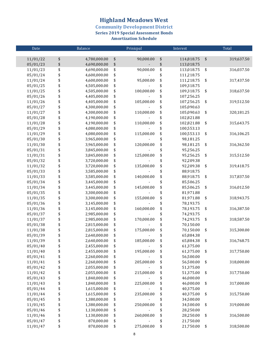**Community Development District<br>Series 2019 Special Assessment Bonds** 

**Amortization Schedule** 

| Date     | Balance            | Prinicpal        | Interest         |                   | Total      |
|----------|--------------------|------------------|------------------|-------------------|------------|
|          |                    |                  |                  |                   |            |
| 11/01/22 | \$<br>4,780,000.00 | \$<br>90,000.00  | \$<br>114,818.75 | $\boldsymbol{\$}$ | 319,637.50 |
| 05/01/23 | \$<br>4,690,000.00 | \$               | \$<br>113,018.75 |                   |            |
| 11/01/23 | \$<br>4,690,000.00 | \$<br>90,000.00  | \$<br>113,018.75 | \$                | 316,037.50 |
| 05/01/24 | \$<br>4,600,000.00 | \$               | \$<br>111,218.75 |                   |            |
| 11/01/24 | \$<br>4,600,000.00 | \$<br>95,000.00  | \$<br>111,218.75 | \$                | 317,437.50 |
| 05/01/25 | \$<br>4,505,000.00 | \$               | \$<br>109,318.75 |                   |            |
| 11/01/25 | \$<br>4,505,000.00 | \$<br>100,000.00 | \$<br>109,318.75 | \$                | 318,637.50 |
| 05/01/26 | \$<br>4,405,000.00 | \$               | \$<br>107,256.25 |                   |            |
| 11/01/26 | \$<br>4,405,000.00 | \$<br>105,000.00 | \$<br>107,256.25 | \$                | 319,512.50 |
| 05/01/27 | \$<br>4,300,000.00 | \$               | \$<br>105,090.63 |                   |            |
| 11/01/27 | \$<br>4,300,000.00 | \$<br>110,000.00 | \$<br>105,090.63 | \$                | 320,181.25 |
| 05/01/28 | \$<br>4,190,000.00 | \$               | \$<br>102,821.88 |                   |            |
| 11/01/28 | \$<br>4,190,000.00 | \$<br>110,000.00 | \$<br>102,821.88 | \$                | 315,643.75 |
| 05/01/29 | \$<br>4,080,000.00 | \$               | \$<br>100,553.13 |                   |            |
| 11/01/29 | \$<br>4,080,000.00 | \$<br>115,000.00 | \$<br>100,553.13 | \$                | 316,106.25 |
| 05/01/30 | \$<br>3,965,000.00 | \$               | \$<br>98,181.25  |                   |            |
| 11/01/30 | \$<br>3,965,000.00 | \$<br>120,000.00 | \$<br>98,181.25  | \$                | 316,362.50 |
| 05/01/31 | \$<br>3,845,000.00 | \$               | \$<br>95,256.25  |                   |            |
| 11/01/31 | \$<br>3,845,000.00 | \$<br>125,000.00 | \$<br>95,256.25  | \$                | 315,512.50 |
| 05/01/32 | \$<br>3,720,000.00 | \$               | \$<br>92,209.38  |                   |            |
| 11/01/32 | \$<br>3,720,000.00 | \$<br>135,000.00 | \$<br>92,209.38  | \$                | 319,418.75 |
| 05/01/33 | \$<br>3,585,000.00 | \$               | \$<br>88,918.75  |                   |            |
| 11/01/33 | \$<br>3,585,000.00 | \$<br>140,000.00 | \$<br>88,918.75  | \$                | 317,837.50 |
| 05/01/34 | \$<br>3,445,000.00 | \$               | \$<br>85,506.25  |                   |            |
| 11/01/34 | \$<br>3,445,000.00 | \$<br>145,000.00 | \$<br>85,506.25  | \$                | 316,012.50 |
| 05/01/35 | \$<br>3,300,000.00 | \$               | \$<br>81,971.88  |                   |            |
| 11/01/35 | \$<br>3,300,000.00 | \$<br>155,000.00 | \$<br>81,971.88  | \$                | 318,943.75 |
| 05/01/36 | \$<br>3,145,000.00 | \$               | \$<br>78,193.75  |                   |            |
| 11/01/36 | \$<br>3,145,000.00 | \$<br>160,000.00 | \$<br>78,193.75  | \$                | 316,387.50 |
| 05/01/37 | \$<br>2,985,000.00 | \$               | \$<br>74,293.75  |                   |            |
| 11/01/37 | \$<br>2,985,000.00 | \$<br>170,000.00 | \$<br>74,293.75  | \$                | 318,587.50 |
| 05/01/38 | \$<br>2,815,000.00 | \$               | \$<br>70,150.00  |                   |            |
| 11/01/38 | \$<br>2,815,000.00 | \$<br>175,000.00 | \$<br>70,150.00  | \$                | 315,300.00 |
| 05/01/39 | \$<br>2,640,000.00 | \$               | \$<br>65,884.38  |                   |            |
| 11/01/39 | \$<br>2,640,000.00 | \$<br>185,000.00 | \$<br>65,884.38  | \$                | 316,768.75 |
| 05/01/40 | \$<br>2,455,000.00 | \$               | \$<br>61,375.00  |                   |            |
| 11/01/40 | \$<br>2,455,000.00 | \$<br>195,000.00 | \$<br>61,375.00  | \$                | 317,750.00 |
| 05/01/41 | \$<br>2,260,000.00 | \$               | \$<br>56,500.00  |                   |            |
| 11/01/41 | \$<br>2,260,000.00 | \$<br>205,000.00 | \$<br>56,500.00  | \$                | 318,000.00 |
| 05/01/42 | \$<br>2,055,000.00 | \$               | \$<br>51,375.00  |                   |            |
| 11/01/42 | \$<br>2,055,000.00 | \$<br>215,000.00 | \$<br>51,375.00  | \$                | 317,750.00 |
| 05/01/43 | \$<br>1,840,000.00 | \$               | \$<br>46,000.00  |                   |            |
| 11/01/43 | \$<br>1,840,000.00 | \$<br>225,000.00 | \$<br>46,000.00  | \$                | 317,000.00 |
| 05/01/44 | \$<br>1,615,000.00 | \$               | \$<br>40,375.00  |                   |            |
| 11/01/44 | \$<br>1,615,000.00 | \$<br>235,000.00 | \$<br>40,375.00  | \$                | 315,750.00 |
| 05/01/45 | \$<br>1,380,000.00 | \$               | \$<br>34,500.00  |                   |            |
| 11/01/45 | \$<br>1,380,000.00 | \$<br>250,000.00 | \$<br>34,500.00  | \$                | 319,000.00 |
| 05/01/46 | \$<br>1,130,000.00 | \$               | \$<br>28,250.00  |                   |            |
| 11/01/46 | \$<br>1,130,000.00 | \$<br>260,000.00 | \$<br>28,250.00  | \$                | 316,500.00 |
| 05/01/47 | \$<br>870,000.00   | \$               | \$<br>21,750.00  |                   |            |
| 11/01/47 | \$<br>870,000.00   | \$<br>275,000.00 | \$<br>21,750.00  | \$                | 318,500.00 |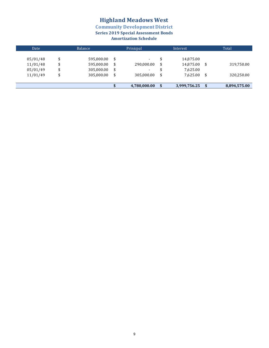**Community Development District** 

**Series 2019 Special Assessment Bonds** 

### **Amortization Schedule**

| Date                 |          | Balance                  | Prinicpal |              |    | Interest               | Total |              |  |
|----------------------|----------|--------------------------|-----------|--------------|----|------------------------|-------|--------------|--|
| 05/01/48<br>11/01/48 | \$<br>\$ | 595,000.00<br>595,000.00 | \$<br>\$  | 290,000.00   | \$ | 14,875.00<br>14,875.00 | \$    | 319,750.00   |  |
| 05/01/49             | \$       | 305,000.00               | \$        | ۰.           |    | 7,625.00               |       |              |  |
| 11/01/49             | \$       | 305,000.00               | \$        | 305,000,00   | \$ | 7.625.00               | \$.   | 320,250.00   |  |
|                      |          |                          |           |              |    |                        |       |              |  |
|                      |          |                          |           | 4,780,000.00 | \$ | 3,999,756.25           |       | 8,894,575.00 |  |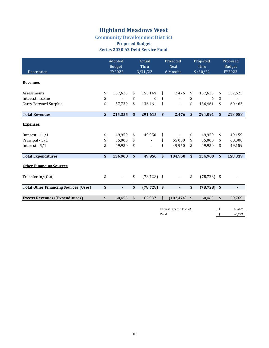### **Community Development District**

#### **Proposed Budget Series 2020 A2 Debt Service Fund**

| Description                                 |    | Adopted<br>Budget<br>FY2022 | Actual<br>Thru<br>3/31/22      |              | Projected<br><b>Next</b><br>6 Months |                         | Projected<br>Thru<br>9/30/22 | Proposed<br><b>Budget</b><br>FY2023 |         |
|---------------------------------------------|----|-----------------------------|--------------------------------|--------------|--------------------------------------|-------------------------|------------------------------|-------------------------------------|---------|
| <b>Revenues</b>                             |    |                             |                                |              |                                      |                         |                              |                                     |         |
| Assessments                                 | \$ | 157,625                     | \$<br>155,149                  | \$           | 2,476                                | \$                      | 157,625                      | \$                                  | 157,625 |
| Interest Income                             | \$ |                             | \$<br>6                        | \$           |                                      | \$                      | 6                            | \$                                  |         |
| <b>Carry Forward Surplus</b>                | \$ | 57,730                      | \$<br>136,461                  | \$           |                                      | \$                      | 136,461                      | \$                                  | 60,463  |
| <b>Total Revenues</b>                       | \$ | 215,355                     | \$<br>291,615                  | \$           | 2,476                                | $\mathbf{s}$            | 294,091                      | \$                                  | 218,088 |
| <b>Expenses</b>                             |    |                             |                                |              |                                      |                         |                              |                                     |         |
| Interest - $11/1$                           | \$ | 49,950                      | \$<br>49,950                   | \$           |                                      | \$                      | 49.950                       | \$                                  | 49,159  |
| Principal - 5/1                             | \$ | 55,000                      | \$<br>$\blacksquare$           | \$           | 55,000                               | \$                      | 55,000                       | \$                                  | 60,000  |
| Interest - $5/1$                            | \$ | 49,950                      | \$<br>$\overline{\phantom{a}}$ | \$           | 49,950                               | \$                      | 49,950                       | \$                                  | 49,159  |
| <b>Total Expenditures</b>                   | \$ | 154,900                     | \$<br>49,950                   | $\mathbf{s}$ | 104,950                              | $\mathbf{s}$            | 154,900                      | \$                                  | 158,319 |
| <b>Other Financing Sources</b>              |    |                             |                                |              |                                      |                         |                              |                                     |         |
| Transfer In/(Out)                           | \$ | $\overline{\phantom{a}}$    | \$<br>(78, 728)                | \$           | $\blacksquare$                       | \$                      | $(78, 728)$ \$               |                                     |         |
| <b>Total Other Financing Sources (Uses)</b> | \$ | $\blacksquare$              | \$<br>(78, 728)                | \$           | ٠                                    | \$                      | $(78, 728)$ \$               |                                     | ۰       |
| <b>Excess Revenues/(Expenditures)</b>       | \$ | 60,455                      | \$<br>162,937                  | \$           | (102, 474)                           | $\sqrt[6]{\frac{1}{2}}$ | 60,463                       | \$                                  | 59,769  |
|                                             |    |                             |                                |              | Interest Expense 11/1/23             |                         |                              | \$                                  | 48,297  |

**f** Total **8 8 18,297**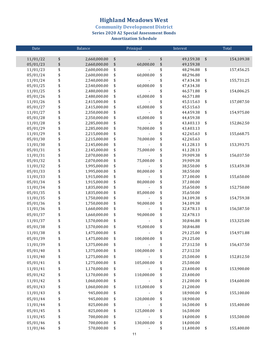**Community Development District<br>Series 2020 A2 Special Assessment Bonds** 

**Amortization Schedule** 

| $\overline{\text{Date}}$ |          | Balance                      | Prinicpal |            |          | Interest               | Total |            |  |
|--------------------------|----------|------------------------------|-----------|------------|----------|------------------------|-------|------------|--|
|                          |          |                              |           |            |          |                        |       |            |  |
| 11/01/22                 | \$       | 2,660,000.00                 | \$        |            | \$       | 49,159.38              | \$    | 154,109.38 |  |
| 05/01/23                 | \$       | 2,660,000.00                 | \$        | 60,000.00  | \$       | 49,159.38              |       |            |  |
| 11/01/23                 | \$       | 2,600,000.00                 | \$        |            | \$       | 48,296.88              | \$    | 157,456.25 |  |
| 05/01/24                 | \$       | 2,600,000.00                 | \$        | 60,000.00  | \$       | 48,296.88              |       |            |  |
| 11/01/24                 | \$       | 2,540,000.00                 | \$        |            | \$       | 47,434.38              | \$    | 155,731.25 |  |
| 05/01/25                 | \$       | 2,540,000.00                 | \$        | 60,000.00  | \$       | 47,434.38              |       |            |  |
| 11/01/25                 | \$       | 2,480,000.00                 | \$        |            | \$       | 46,571.88              | \$    | 154,006.25 |  |
| 05/01/26<br>11/01/26     | \$<br>\$ | 2,480,000.00<br>2,415,000.00 | \$<br>\$  | 65,000.00  | \$<br>\$ | 46,571.88<br>45,515.63 | \$    | 157,087.50 |  |
| 05/01/27                 | \$       | 2,415,000.00                 | \$        | 65,000.00  | \$       | 45,515.63              |       |            |  |
| 11/01/27                 | \$       | 2,350,000.00                 | \$        |            | \$       | 44,459.38              | \$    | 154,975.00 |  |
| 05/01/28                 | \$       | 2,350,000.00                 | \$        | 65,000.00  | \$       | 44,459.38              |       |            |  |
| 11/01/28                 | \$       | 2,285,000.00                 | \$        |            | \$       | 43,403.13              | \$    | 152,862.50 |  |
| 05/01/29                 | \$       | 2,285,000.00                 | \$        | 70,000.00  | \$       | 43,403.13              |       |            |  |
| 11/01/29                 | \$       | 2,215,000.00                 | \$        |            | \$       | 42,265.63              | \$    | 155,668.75 |  |
| 05/01/30                 | \$       | 2,215,000.00                 | \$        | 70,000.00  | \$       | 42,265.63              |       |            |  |
| 11/01/30                 | \$       | 2,145,000.00                 | \$        |            | \$       | 41,128.13              | \$    | 153,393.75 |  |
| 05/01/31                 | \$       | 2,145,000.00                 | \$        | 75,000.00  | \$       | 41,128.13              |       |            |  |
| 11/01/31                 | \$       | 2,070,000.00                 | \$        |            | \$       | 39,909.38              | \$    | 156,037.50 |  |
| 05/01/32                 | \$       | 2,070,000.00                 | \$        | 75,000.00  | \$       | 39,909.38              |       |            |  |
| 11/01/32                 | \$       | 1,995,000.00                 | \$        |            | \$       | 38,550.00              | \$    | 153,459.38 |  |
| 05/01/33                 | \$       | 1,995,000.00                 | \$        | 80,000.00  | \$       | 38,550.00              |       |            |  |
| 11/01/33                 | \$       | 1,915,000.00                 | \$        |            | \$       | 37,100.00              | \$    | 155,650.00 |  |
| 05/01/34                 | \$       | 1,915,000.00                 | \$        | 80,000.00  | \$       | 37,100.00              |       |            |  |
| 11/01/34                 | \$       | 1,835,000.00                 | \$        |            | \$       | 35,650.00              | \$    | 152,750.00 |  |
| 05/01/35                 | \$       | 1,835,000.00                 | \$        | 85,000.00  | \$       | 35,650.00              |       |            |  |
| 11/01/35<br>05/01/36     | \$<br>\$ | 1,750,000.00<br>1,750,000.00 | \$<br>\$  | 90,000.00  | \$<br>\$ | 34,109.38<br>34,109.38 | \$    | 154,759.38 |  |
| 11/01/36                 | \$       | 1,660,000.00                 | \$        |            | \$       | 32,478.13              | \$    | 156,587.50 |  |
| 05/01/37                 | \$       | 1,660,000.00                 | \$        | 90,000.00  | \$       | 32,478.13              |       |            |  |
| 11/01/37                 |          |                              |           |            |          | 30,846.88              |       |            |  |
|                          | \$       | 1,570,000.00                 | \$        |            | \$       |                        | \$    | 153,325.00 |  |
| 05/01/38                 | \$       | 1,570,000.00                 | \$        | 95,000.00  | \$       | 30,846.88              |       |            |  |
| 11/01/38                 | \$       | 1,475,000.00                 | \$        |            | \$       | 29,125.00              | \$    | 154,971.88 |  |
| 05/01/39                 | \$       | 1,475,000.00                 | \$        | 100,000.00 | \$       | 29,125.00              |       |            |  |
| 11/01/39                 | \$       | 1,375,000.00                 | \$        |            | \$       | 27,312.50              | \$    | 156,437.50 |  |
| 05/01/40                 | \$       | 1,375,000.00                 | \$        | 100,000.00 | \$       | 27,312.50              |       |            |  |
| 11/01/40                 | \$       | 1,275,000.00                 | \$        |            | \$       | 25,500.00              | \$    | 152,812.50 |  |
| 05/01/41                 | \$       | 1,275,000.00                 | \$        | 105,000.00 | \$       | 25,500.00              |       |            |  |
| 11/01/41                 | \$       | 1,170,000.00                 | \$        |            | \$       | 23,400.00              | \$    | 153,900.00 |  |
| 05/01/42                 | \$       | 1,170,000.00                 | \$        | 110,000.00 | \$       | 23,400.00              |       |            |  |
| 11/01/42                 | \$       | 1,060,000.00                 | \$        |            | \$       | 21,200.00              | \$    | 154,600.00 |  |
| 05/01/43                 | \$       | 1,060,000.00                 | \$        | 115,000.00 | \$       | 21,200.00              |       |            |  |
| 11/01/43                 | \$       | 945,000.00                   | \$        |            | \$       | 18,900.00              | \$    | 155,100.00 |  |
| 05/01/44                 | \$       | 945,000.00                   | \$        | 120,000.00 | \$       | 18,900.00              |       |            |  |
| 11/01/44                 | \$       | 825,000.00                   | \$        |            | \$       | 16,500.00              | \$    | 155,400.00 |  |
| 05/01/45                 | \$       | 825,000.00                   | \$        | 125,000.00 | \$       | 16,500.00              |       |            |  |
| 11/01/45                 | \$       | 700,000.00                   | \$        |            | \$       | 14,000.00              | \$    | 155,500.00 |  |
|                          |          |                              |           |            |          |                        |       |            |  |
| 05/01/46                 | \$<br>\$ | 700,000.00                   | \$        | 130,000.00 | \$<br>\$ | 14,000.00              |       |            |  |
| 11/01/46                 |          | 570,000.00                   | \$        |            |          | 11,400.00              | \$    | 155,400.00 |  |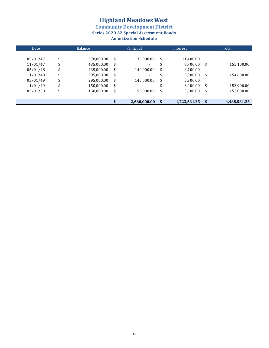**Community Development District** 

**Series 2020 A2 Special Assessment Bonds** 

### **Amortization Schedule**

| Date     | Balance          | Prinicpal                      | Interest           |      | Total        |
|----------|------------------|--------------------------------|--------------------|------|--------------|
| 05/01/47 | \$<br>570,000.00 | \$<br>135,000.00               | \$<br>11,400.00    |      |              |
| 11/01/47 | \$<br>435,000.00 | \$<br>$\overline{\phantom{0}}$ | \$<br>8.700.00     | \$   | 155,100.00   |
| 05/01/48 | \$<br>435,000.00 | \$<br>140,000.00               | \$<br>8,700.00     |      |              |
| 11/01/48 | \$<br>295,000.00 | \$<br>$\overline{\phantom{0}}$ | \$<br>5,900.00     | \$   | 154,600.00   |
| 05/01/49 | \$<br>295,000.00 | \$<br>145,000.00               | \$<br>5,900.00     |      |              |
| 11/01/49 | \$<br>150,000.00 | \$                             | \$<br>3,000.00     | \$   | 153,900.00   |
| 05/01/50 | \$<br>150,000.00 | \$<br>150,000.00               | \$<br>3,000.00     | \$   | 153,000.00   |
|          |                  |                                |                    |      |              |
|          |                  | 2,660,000.00                   | \$<br>1,723,631.25 | - \$ | 4,488,581.25 |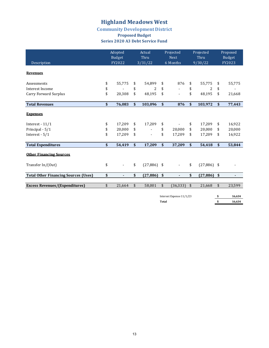#### **Community Development District Proposed Budget Series 2020 A3 Debt Service Fund**

| Description                                 |    | Adopted<br>Budget<br>FY2022 |    | Actual<br>Thru<br>3/31/22 |                          | Projected<br><b>Next</b><br>6 Months |                    | Projected<br>Thru<br>9/30/22 | Proposed<br>Budget<br>FY2023 |                |  |
|---------------------------------------------|----|-----------------------------|----|---------------------------|--------------------------|--------------------------------------|--------------------|------------------------------|------------------------------|----------------|--|
| <b>Revenues</b>                             |    |                             |    |                           |                          |                                      |                    |                              |                              |                |  |
| Assessments                                 | \$ | 55,775                      | \$ | 54,899                    | \$                       | 876                                  | \$                 | 55,775                       | \$                           | 55,775         |  |
| Interest Income                             | \$ |                             | \$ | 2                         | \$                       |                                      | \$                 | 2                            | \$                           |                |  |
| Carry Forward Surplus                       | \$ | 20,308                      | \$ | 48,195                    | \$                       |                                      | \$                 | 48,195                       | \$                           | 21,668         |  |
| <b>Total Revenues</b>                       | \$ | 76,083                      | \$ | 103,096                   | \$                       | 876                                  | \$                 | 103,972                      | \$                           | 77,443         |  |
| <b>Expenses</b>                             |    |                             |    |                           |                          |                                      |                    |                              |                              |                |  |
| Interest - $11/1$                           | \$ | 17,209                      | \$ | 17,209                    | \$                       |                                      | \$                 | 17,209                       | \$                           | 16,922         |  |
| Principal - 5/1                             | \$ | 20,000                      | \$ | $\blacksquare$            | \$                       | 20,000                               | \$                 | 20,000                       | \$                           | 20,000         |  |
| Interest - 5/1                              | \$ | 17,209                      | \$ | $\blacksquare$            | \$                       | 17,209                               | \$                 | 17,209                       | \$                           | 16,922         |  |
| <b>Total Expenditures</b>                   | \$ | 54,419                      | \$ | 17,209                    | \$                       | 37,209                               | \$                 | 54,418                       | \$                           | 53,844         |  |
| <b>Other Financing Sources</b>              |    |                             |    |                           |                          |                                      |                    |                              |                              |                |  |
| Transfer In/(Out)                           | \$ |                             | \$ | $(27,886)$ \$             |                          | $\blacksquare$                       | \$                 | $(27,886)$ \$                |                              |                |  |
| <b>Total Other Financing Sources (Uses)</b> | \$ |                             | \$ | (27, 886)                 | \$                       |                                      | \$                 | (27, 886)                    | \$                           | $\blacksquare$ |  |
| <b>Excess Revenues/(Expenditures)</b>       | \$ | 21,664                      |    | 58,001                    | $\frac{1}{2}$            | (36, 333)                            | $\mathbf{\hat{S}}$ | 21,668                       | \$                           | 23,599         |  |
|                                             |    |                             |    |                           | Interest Expense 11/1/23 |                                      |                    |                              | \$                           | 16,634         |  |

**f** Total **8 16,634**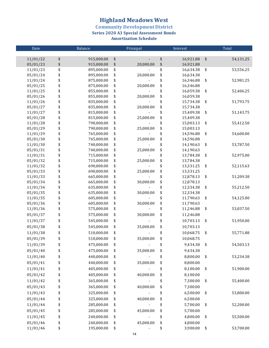**Community Development District** 

**Series 2020 A3 Special Assessment Bonds** 

**Amortization Schedule**

| Date                 |          | Balance                  |          | Prinicpal |          | Interest               | Total           |
|----------------------|----------|--------------------------|----------|-----------|----------|------------------------|-----------------|
|                      |          |                          |          |           |          |                        |                 |
| 11/01/22             | \$       | 915,000.00               | \$       |           | \$       | 16,921.88              | \$<br>54,131.25 |
| 05/01/23             | \$       | 915,000.00               | \$       | 20,000.00 | \$       | 16,921.88              |                 |
| 11/01/23             | \$       | 895,000.00               | \$       |           | \$       | 16,634.38              | \$<br>53,556.25 |
| 05/01/24             | \$       | 895,000.00               | \$       | 20,000.00 | \$       | 16,634.38              |                 |
| 11/01/24             | \$       | 875,000.00               | \$       |           | \$       | 16,346.88              | \$<br>52,981.25 |
| 05/01/25             | \$<br>\$ | 875,000.00               | \$<br>\$ | 20,000.00 | \$<br>\$ | 16,346.88              |                 |
| 11/01/25<br>05/01/26 | \$       | 855,000.00<br>855,000.00 | \$       | 20,000.00 | \$       | 16,059.38<br>16,059.38 | \$<br>52,406.25 |
| 11/01/26             | \$       | 835,000.00               | \$       |           | \$       | 15,734.38              | \$<br>51,793.75 |
| 05/01/27             | \$       | 835,000.00               | \$       | 20,000.00 | \$       | 15,734.38              |                 |
| 11/01/27             | \$       | 815,000.00               | \$       |           | \$       | 15,409.38              | \$<br>51,143.75 |
| 05/01/28             | \$       | 815,000.00               | \$       | 25,000.00 | \$       | 15,409.38              |                 |
| 11/01/28             | \$       | 790,000.00               | \$       |           | \$       | 15,003.13              | \$<br>55,412.50 |
| 05/01/29             | \$       | 790,000.00               | \$       | 25,000.00 | \$       | 15,003.13              |                 |
| 11/01/29             | \$       | 765,000.00               | \$       |           | \$       | 14,596.88              | \$<br>54,600.00 |
| 05/01/30             | \$       | 765,000.00               | \$       | 25,000.00 | \$       | 14,596.88              |                 |
| 11/01/30             | \$       | 740,000.00               | \$       |           | \$       | 14,190.63              | \$<br>53,787.50 |
| 05/01/31             | \$       | 740,000.00               | \$       | 25,000.00 | \$       | 14,190.63              |                 |
| 11/01/31             | \$       | 715,000.00               | \$       |           | \$       | 13,784.38              | \$<br>52,975.00 |
| 05/01/32             | \$       | 715,000.00               | \$       | 25,000.00 | \$       | 13,784.38              |                 |
| 11/01/32             | \$       | 690,000.00               | \$       |           | \$       | 13,331.25              | \$<br>52,115.63 |
| 05/01/33             | \$       | 690,000.00               | \$       | 25,000.00 | \$       | 13,331.25              |                 |
| 11/01/33             | \$       | 665,000.00               | \$       |           | \$       | 12,878.13              | \$<br>51,209.38 |
| 05/01/34             | \$       | 665,000.00               | \$       | 30,000.00 | \$       | 12,878.13              |                 |
| 11/01/34             | \$       | 635,000.00               | \$       |           | \$       | 12,334.38              | \$<br>55,212.50 |
| 05/01/35             | \$       | 635,000.00               | \$       | 30,000.00 | \$       | 12,334.38              |                 |
| 11/01/35             | \$       | 605,000.00               | \$       |           | \$       | 11,790.63              | \$<br>54,125.00 |
| 05/01/36             | \$       | 605,000.00               | \$       | 30,000.00 | \$       | 11,790.63              |                 |
| 11/01/36             | \$       | 575,000.00               | \$       |           | \$       | 11,246.88              | \$<br>53,037.50 |
| 05/01/37             | \$       | 575,000.00               | \$       | 30,000.00 | \$       | 11,246.88              |                 |
| 11/01/37             | \$       | 545,000.00               | \$       |           | \$       | 10,703.13              | \$<br>51,950.00 |
| 05/01/38             | \$       | 545,000.00               | \$       | 35,000.00 | \$       | 10,703.13              |                 |
| 11/01/38             | \$       | 510,000.00               | \$       |           | \$       | 10,068.75              | \$<br>55,771.88 |
| 05/01/39             | \$       | 510,000.00               | \$       | 35,000.00 | \$       | 10,068.75              |                 |
| 11/01/39             | \$       | 475,000.00               | \$       |           | \$       | 9,434.38               | \$<br>54,503.13 |
| 05/01/40             | \$       | 475,000.00               | \$       | 35,000.00 | \$       | 9,434.38               |                 |
| 11/01/40             | \$       | 440,000.00               | \$       |           | \$       | 8,800.00               | \$<br>53,234.38 |
| 05/01/41             | \$       | 440,000.00               | \$       | 35,000.00 | \$       | 8,800.00               |                 |
| 11/01/41             | \$       | 405,000.00               | \$       |           | \$       | 8,100.00               | \$<br>51,900.00 |
| 05/01/42             | \$       | 405,000.00               | \$       | 40,000.00 | \$       | 8,100.00               |                 |
| 11/01/42             | \$       | 365,000.00               | \$       |           | \$       | 7,300.00               | \$<br>55,400.00 |
|                      |          |                          |          |           |          |                        |                 |
| 05/01/43             | \$       | 365,000.00               | \$       | 40,000.00 | \$       | 7,300.00               |                 |
| 11/01/43             | \$       | 325,000.00               | \$       |           | \$       | 6,500.00               | \$<br>53,800.00 |
| 05/01/44             | \$       | 325,000.00               | \$       | 40,000.00 | \$       | 6,500.00               |                 |
| 11/01/44             | \$       | 285,000.00               | \$       |           | \$       | 5,700.00               | \$<br>52,200.00 |
| 05/01/45             | \$       | 285,000.00               | \$       | 45,000.00 | \$       | 5,700.00               |                 |
| 11/01/45             | \$       | 240,000.00               | \$       |           | \$       | 4,800.00               | \$<br>55,500.00 |
| 05/01/46             | \$       | 240,000.00               | \$       | 45,000.00 | \$       | 4,800.00               |                 |
| 11/01/46             | \$       | 195,000.00               | \$       |           | \$       | 3,900.00               | \$<br>53,700.00 |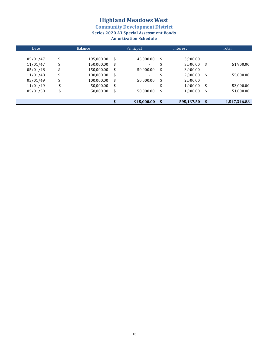**Community Development District** 

**Series 2020 A3 Special Assessment Bonds** 

### **Amortization Schedule**

| Date     | Balance |            |    | Prinicpal                | Interest         | Total |              |  |
|----------|---------|------------|----|--------------------------|------------------|-------|--------------|--|
|          |         |            |    |                          |                  |       |              |  |
| 05/01/47 | \$      | 195,000.00 | \$ | 45,000.00                | \$<br>3,900.00   |       |              |  |
| 11/01/47 | \$      | 150,000.00 | \$ | -                        | \$<br>3,000.00   | \$    | 51,900.00    |  |
| 05/01/48 | \$      | 150,000.00 | \$ | 50,000.00                | \$<br>3,000.00   |       |              |  |
| 11/01/48 | \$      | 100,000.00 | \$ | $\overline{\phantom{0}}$ | \$<br>2.000.00   | \$    | 55,000.00    |  |
| 05/01/49 | \$      | 100,000.00 | \$ | 50,000.00                | \$<br>2,000.00   |       |              |  |
| 11/01/49 | \$      | 50,000.00  | \$ | $\overline{\phantom{0}}$ | \$<br>1,000.00   | \$    | 53,000.00    |  |
| 05/01/50 | \$      | 50,000.00  | \$ | 50,000.00                | \$<br>1,000.00   | \$    | 51,000.00    |  |
|          |         |            |    |                          |                  |       |              |  |
|          |         |            |    | 915,000.00               | \$<br>595,137.50 | - \$  | 1,547,346.88 |  |